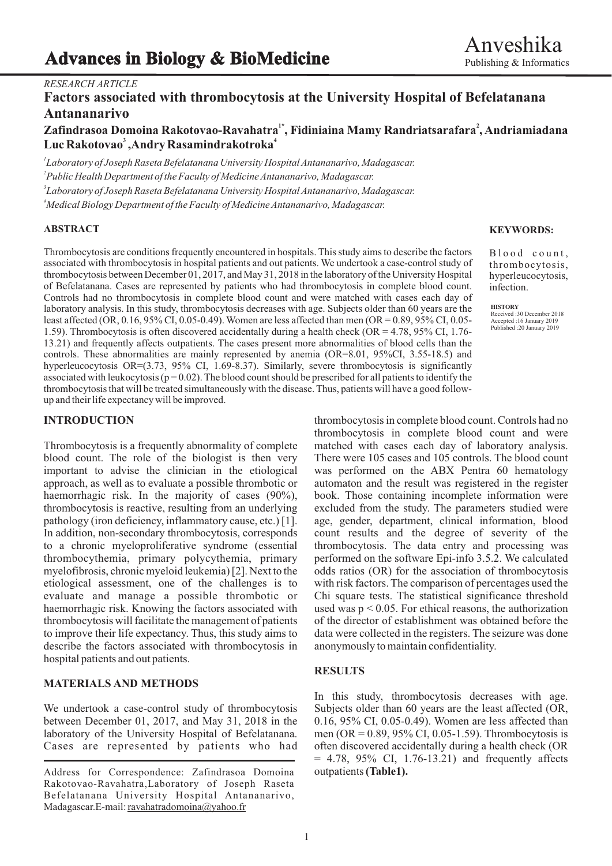# **Advances in Biology & BioMedicine**

### *RESEARCH ARTICLE*

# **Factors associated with thrombocytosis at the University Hospital of Befelatanana Antananarivo**

## **1\* <sup>2</sup> Zafindrasoa Domoina Rakotovao-Ravahatra , Fidiniaina Mamy Randriatsarafara , Andriamiadana <sup>3</sup> <sup>4</sup> Luc Rakotovao ,Andry Rasamindrakotroka**

 *Laboratory of Joseph Raseta Befelatanana University Hospital Antananarivo, Madagascar. Public Health Department of the Faculty of Medicine Antananarivo, Madagascar. Laboratory of Joseph Raseta Befelatanana University Hospital Antananarivo, Madagascar. Medical Biology Department of the Faculty of Medicine Antananarivo, Madagascar.*

### **ABSTRACT**

Thrombocytosis are conditions frequently encountered in hospitals. This study aims to describe the factors associated with thrombocytosis in hospital patients and out patients. We undertook a case-control study of thrombocytosis between December 01, 2017, and May 31, 2018 in the laboratory of the University Hospital of Befelatanana. Cases are represented by patients who had thrombocytosis in complete blood count. Controls had no thrombocytosis in complete blood count and were matched with cases each day of laboratory analysis. In this study, thrombocytosis decreases with age. Subjects older than 60 years are the least affected (OR, 0.16, 95% CI, 0.05-0.49). Women are less affected than men (OR = 0.89, 95% CI, 0.05- 1.59). Thrombocytosis is often discovered accidentally during a health check (OR = 4.78, 95% CI, 1.76- 13.21) and frequently affects outpatients. The cases present more abnormalities of blood cells than the controls. These abnormalities are mainly represented by anemia (OR=8.01, 95%CI, 3.55-18.5) and hyperleucocytosis OR=(3.73, 95% CI, 1.69-8.37). Similarly, severe thrombocytosis is significantly associated with leukocytosis ( $p = 0.02$ ). The blood count should be prescribed for all patients to identify the thrombocytosis that will be treated simultaneously with the disease. Thus, patients will have a good followup and their life expectancy will be improved.

blood count. The role of the biologist is then very There were 105 cases and 105 controls. The blood count important to advise the clinician in the etiological was performed on the ABX Pentra 60 hematology approach, as well as to evaluate a possible thrombotic or automaton and the result was registered in the register haemorrhagic risk. In the majority of cases (90%), book. Those containing incomplete information were thrombocytosis is reactive, resulting from an underlying excluded from the study. The parameters studied were pathology (iron deficiency, inflammatory cause, etc.) [1]. age, gender, department, clinical information, blood In addition, non-secondary thrombocytosis, corresponds count results and the degree of severity of the to a chronic myeloproliferative syndrome (essential thrombocytosis. The data entry and processing was thrombocythemia, primary polycythemia, primary performed on the software Epi-info 3.5.2. We calculated thrombocythemia, primary polycythemia, primary myelofibrosis, chronic myeloid leukemia) [2]. Next to the odds ratios (OR) for the association of thrombocytosis etiological assessment, one of the challenges is to with risk factors. The comparison of percentages used the evaluate and manage a possible thrombotic or Chi square tests. The statistical significance threshold haemorrhagic risk. Knowing the factors associated with used was  $p \le 0.05$ . For ethical reasons, the authorization thrombocytosis will facilitate the management of patients of the director of establishment was obtained before the to improve their life expectancy. Thus, this study aims to data were collected in the registers. The seizure was done describe the factors associated with thrombocytosis in anonymously to maintain confidentiality. hospital patients and out patients.

### **MATERIALS AND METHODS**

We undertook a case-control study of thrombocytosis Subjects older than 60 years are the least affected (OR, between December 01, 2017, and May 31, 2018 in the 0.16, 95% CI, 0.05-0.49). Women are less affected than laboratory of the University Hospital of Befelatanana. men (OR = 0.89, 95% CI, 0.05-1.59). Thrombocytosis is Cases are represented by patients who had often discovered accidentally during a health check (OR

### **KEYWORDS:**

Blood count, thrombocytosis, hyperleucocytosis, infection.

**HISTORY** Received :30 December 2018 Accepted :16 January 2019 Published :20 January 2019

**INTRODUCTION** thrombocytosis in complete blood count. Controls had no thrombocytosis in complete blood count and were Thrombocytosis is a frequently abnormality of complete matched with cases each day of laboratory analysis.

### **RESULTS**

In this study, thrombocytosis decreases with age.  $= 4.78, 95\%$  CI, 1.76-13.21) and frequently affects outpatients **(Table1).**

Address for Correspondence: Zafindrasoa Domoina Rakotovao-Ravahatra,Laboratory of Joseph Raseta Befelatanana University Hospital Antananarivo, Madagascar.E-mail: ravahatradomoina@yahoo.fr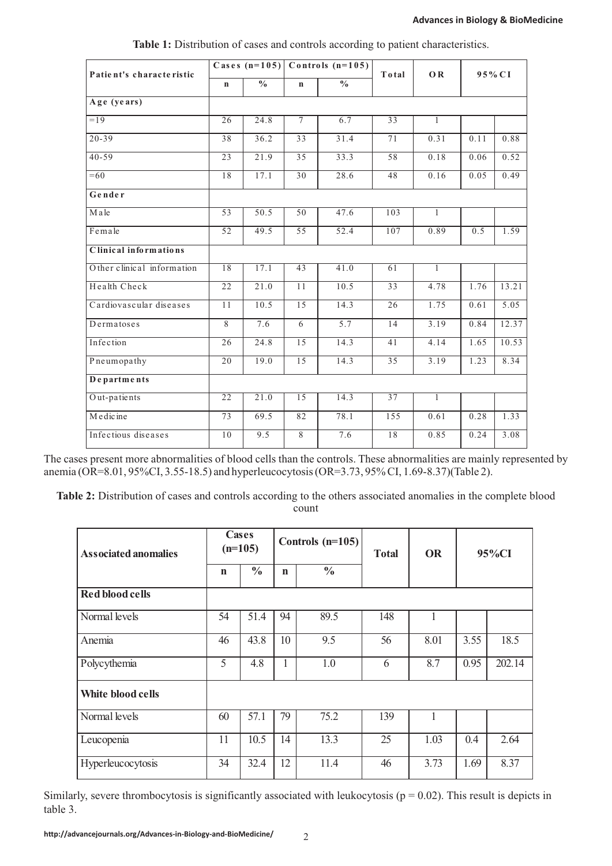| Patient's characteristic   | Cases $(n=105)$ Controls $(n=105)$ |                   |                 |               | Total           | <b>OR</b>      | 95% CI           |       |
|----------------------------|------------------------------------|-------------------|-----------------|---------------|-----------------|----------------|------------------|-------|
|                            | $\mathbf n$                        | $\frac{0}{0}$     | $\mathbf n$     | $\frac{0}{0}$ |                 |                |                  |       |
| Age (years)                |                                    |                   |                 |               |                 |                |                  |       |
| $=19$                      | $\overline{26}$                    | 24.8              | $\overline{7}$  | 6.7           | $\overline{33}$ | 1              |                  |       |
| $20 - 39$                  | 38                                 | 36.2              | 33              | 31.4          | 71              | 0.31           | 0.11             | 0.88  |
| $40 - 59$                  | 21.9<br>23                         |                   | 35              | 33.3          |                 | 0.18           | 0.06             | 0.52  |
| $=60$                      | 18                                 | 17.1<br>30        |                 | 28.6          | 48              | 0.16           | 0.05             | 0.49  |
| Gender                     |                                    |                   |                 |               |                 |                |                  |       |
| Male                       | 53                                 | 50.5              | 50              | 47.6          | 103             | $\mathbf{1}$   |                  |       |
| Female                     | $\overline{52}$                    | 49.5              | 55              | 52.4          | 107             | 0.89           | $\overline{0.5}$ | 1.59  |
| Clinical informations      |                                    |                   |                 |               |                 |                |                  |       |
| Other clinical information | 18                                 | 17.1              | 43              | 41.0          | 61              | $\overline{1}$ |                  |       |
| Health Check               | 22                                 | 21.0              | 11              | 10.5          | 33              | 4.78           | 1.76             | 13.21 |
| Cardiovascular diseases    | 11                                 | 10.5              | 15              | 14.3          | 26              | 1.75           | 0.61             | 5.05  |
| Dermatoses                 | 8                                  | 7.6               | 6               | 5.7           | 14              | 3.19           | 0.84             | 12.37 |
| Infection                  | 26                                 | $\overline{24.8}$ | 15              | 14.3          | 41              | 4.14           | 1.65             | 10.53 |
| Pneumopathy                | 20                                 | 19.0              | 15              | 14.3          | 35              | 3.19           | 1.23             | 8.34  |
| Departments                |                                    |                   |                 |               |                 |                |                  |       |
| Out-patients               | $\overline{22}$                    | 21.0              | $\overline{15}$ | 14.3          | 37              | $\overline{1}$ |                  |       |
| Medicine                   | 73                                 | 69.5              | 82              | 78.1          | 155             | 0.61           | 0.28             | 1.33  |
| Infectious diseases        | 10                                 | 9.5               | 8               | 7.6           | 18              | 0.85           | 0.24             | 3.08  |

|  |  |  |  |  | Table 1: Distribution of cases and controls according to patient characteristics. |  |
|--|--|--|--|--|-----------------------------------------------------------------------------------|--|
|  |  |  |  |  |                                                                                   |  |

The cases present more abnormalities of blood cells than the controls. These abnormalities are mainly represented by anemia (OR=8.01, 95%CI, 3.55-18.5) and hyperleucocytosis (OR=3.73, 95% CI, 1.69-8.37) (Table 2).

Table 2: Distribution of cases and controls according to the others associated anomalies in the complete blood count

| <b>Associated anomalies</b> | Cases<br>$(n=105)$ |               |                              | Controls $(n=105)$ | <b>Total</b> | <b>OR</b> | 95%CI |        |
|-----------------------------|--------------------|---------------|------------------------------|--------------------|--------------|-----------|-------|--------|
|                             | $\mathbf n$        | $\frac{0}{0}$ | $\frac{0}{0}$<br>$\mathbf n$ |                    |              |           |       |        |
| <b>Red blood cells</b>      |                    |               |                              |                    |              |           |       |        |
| Normal levels               | 54                 | 51.4          | 94                           | 89.5               | 148          | 1         |       |        |
| Anemia                      | 46                 | 43.8          | 10                           | 9.5                | 56           | 8.01      | 3.55  | 18.5   |
| Polycythemia                | 5                  | 4.8           | 1                            | 1.0                | 6            | 8.7       | 0.95  | 202.14 |
| White blood cells           |                    |               |                              |                    |              |           |       |        |
| Normal levels               | 60                 | 57.1          | 79                           | 75.2               | 139          | 1         |       |        |
| Leucopenia                  | 11                 | 10.5          | 14                           | 13.3               | 25           | 1.03      | 0.4   | 2.64   |
| Hyperleucocytosis           | 34                 | 32.4          | 12                           | 11.4               | 46           | 3.73      | 1.69  | 8.37   |

Similarly, severe thrombocytosis is significantly associated with leukocytosis ( $p = 0.02$ ). This result is depicts in table 3.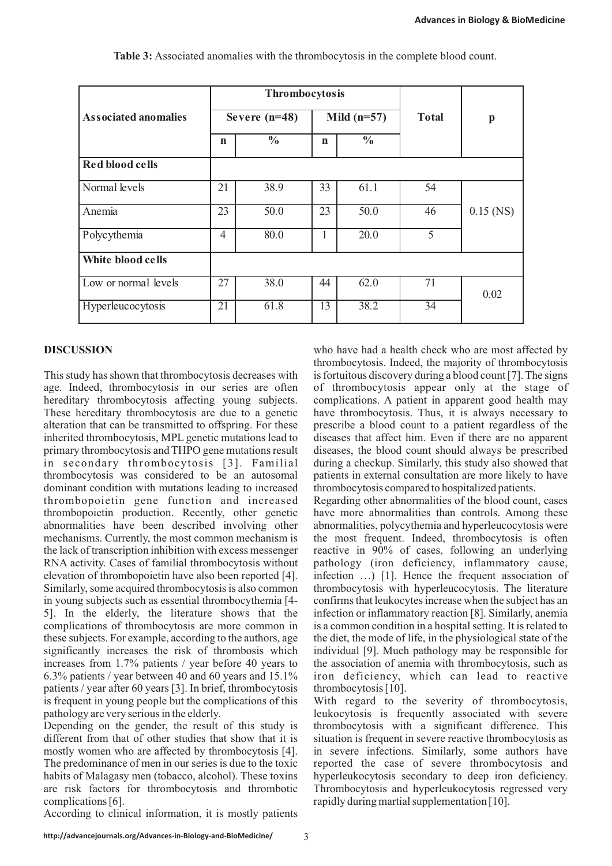|                             |                | Thrombocytosis  |             |               |              |              |
|-----------------------------|----------------|-----------------|-------------|---------------|--------------|--------------|
| <b>Associated anomalies</b> |                | Severe $(n=48)$ |             | Mild $(n=57)$ | <b>Total</b> | $\mathbf{p}$ |
|                             | $\mathbf n$    | $\frac{0}{0}$   | $\mathbf n$ | $\frac{0}{0}$ |              |              |
| Red blood cells             |                |                 |             |               |              |              |
| Normal levels               | 21             | 38.9            | 33          | 61.1          | 54           |              |
| Anemia                      | 23             | 50.0            | 23          | 50.0          | 46           | $0.15$ (NS)  |
| Polycythemia                | $\overline{4}$ | 80.0            |             | 20.0          | 5            |              |
| White blood cells           |                |                 |             |               |              |              |
| Low or normal levels        | 27             | 38.0            | 44          | 62.0          | 71           | 0.02         |
| Hyperleucocytosis           | 21             | 61.8            | 13          | 38.2          | 34           |              |

**Table 3:** Associated anomalies with the thrombocytosis in the complete blood count.

This study has shown that thrombocytosis decreases with is fortuitous discovery during a blood count [7]. The signs age. Indeed, thrombocytosis in our series are often of thrombocytosis appear only at the stage of age. Indeed, thrombocytosis in our series are often of thrombocytosis appear only at the stage of hereditary thrombocytosis affecting young subjects. complications. A patient in apparent good health may These hereditary thrombocytosis are due to a genetic have thrombocytosis. Thus, it is always necessary to alteration that can be transmitted to offspring. For these prescribe a blood count to a patient regardless of the inherited thrombocytosis, MPL genetic mutations lead to diseases that affect him. Even if there are no apparent primary thrombocytosis and THPO gene mutations result diseases, the blood count should always be prescribed in secondary thrombocytosis [3]. Familial during a checkup. Similarly, this study also showed that thrombocytosis was considered to be an autosomal patients in external consultation are more likely to have dominant condition with mutations leading to increased thrombocytosis compared to hospitalized patients. thrombopoietin gene function and increased Regarding other abnormalities of the blood count, cases thrombopoietin production. Recently, other genetic have more abnormalities than controls. Among these abnormalities have been described involving other abnormalities, polycythemia and hyperleucocytosis were mechanisms. Currently, the most common mechanism is the most frequent. Indeed, thrombocytosis is often the lack of transcription inhibition with excess messenger reactive in 90% of cases, following an underlying RNA activity. Cases of familial thrombocytosis without pathology (iron deficiency, inflammatory cause, elevation of thrombopoietin have also been reported [4]. infection …) [1]. Hence the frequent association of Similarly, some acquired thrombocytosis is also common thrombocytosis with hyperleucocytosis. The literature in young subjects such as essential thrombocythemia [4- confirms that leukocytes increase when the subject has an 5]. In the elderly, the literature shows that the infection or inflammatory reaction [8]. Similarly, anemia 5]. In the elderly, the literature shows that the complications of thrombocytosis are more common in is a common condition in a hospital setting. It is related to these subjects. For example, according to the authors, age the diet, the mode of life, in the physiological state of the significantly increases the risk of thrombosis which individual [9]. Much pathology may be responsible for increases from 1.7% patients / year before 40 years to the association of anemia with thrombocytosis, such as 6.3% patients / year between 40 and 60 years and 15.1% iron deficiency, which can lead to reactive patients / year after 60 years [3]. In brief, thrombocytosis is frequent in young people but the complications of this With regard to the severity of thrombocytosis,

different from that of other studies that show that it is situation is frequent in severe reactive thrombocytosis as mostly women who are affected by thrombocytosis [4]. in severe infections. Similarly, some authors have The predominance of men in our series is due to the toxic reported the case of severe thrombocytosis and The predominance of men in our series is due to the toxic habits of Malagasy men (tobacco, alcohol). These toxins hyperleukocytosis secondary to deep iron deficiency. are risk factors for thrombocytosis and thrombotic Thrombocytosis and hyperleukocytosis regressed very complications [6]. rapidly during martial supplementation [10].

**DISCUSSION** who have had a health check who are most affected by thrombocytosis. Indeed, the majority of thrombocytosis complications. A patient in apparent good health may

pathology are very serious in the elderly. leukocytosis is frequently associated with severe<br>Depending on the gender, the result of this study is thrombocytosis with a significant difference. This thrombocytosis with a significant difference. This

According to clinical information, it is mostly patients